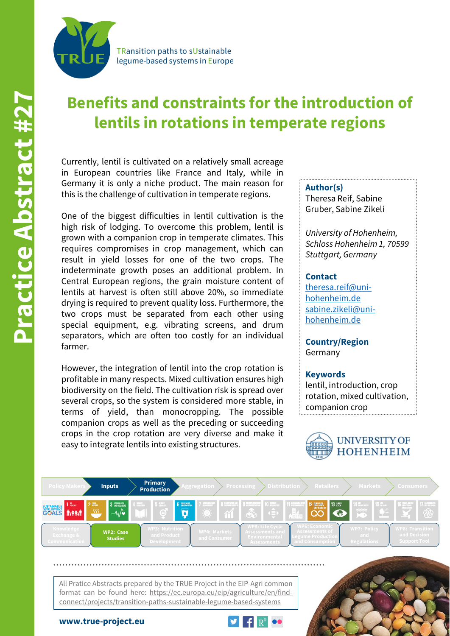

**TRansition paths to sUstainable** legume-based systems in Europe

# **Benefits and constraints for the introduction of lentils in rotations in temperate regions**

Currently, lentil is cultivated on a relatively small acreage in European countries like France and Italy, while in Germany it is only a niche product. The main reason for this is the challenge of cultivation in temperate regions.

One of the biggest difficulties in lentil cultivation is the high risk of lodging. To overcome this problem, lentil is grown with a companion crop in temperate climates. This requires compromises in crop management, which can result in yield losses for one of the two crops. The indeterminate growth poses an additional problem. In Central European regions, the grain moisture content of lentils at harvest is often still above 20%, so immediate drying is required to prevent quality loss. Furthermore, the two crops must be separated from each other using special equipment, e.g. vibrating screens, and drum separators, which are often too costly for an individual farmer.

However, the integration of lentil into the crop rotation is profitable in many respects. Mixed cultivation ensures high biodiversity on the field. The cultivation risk is spread over several crops, so the system is considered more stable, in terms of yield, than monocropping. The possible companion crops as well as the preceding or succeeding crops in the crop rotation are very diverse and make it easy to integrate lentils into existing structures.

#### **Author(s)**

Theresa Reif, Sabine Gruber, Sabine Zikeli

*University of Hohenheim, Schloss Hohenheim 1, 70599 Stuttgart, Germany*

### **Contact**

[theresa.reif@uni](mailto:theresa.reif@uni-hohenheim.de)hohenheim.de [sabine.zikeli@uni](mailto:sabine.zikeli@uni-hohenheim.de)hohenheim.de

**Country/Region** Germany

#### **Keywords**

lentil, introduction, crop rotation, mixed cultivation, companion crop





All Pratice Abstracts prepared by the TRUE Project in the EIP-Agri common format can be found here: https://ec.europa.eu/eip/agriculture/en/findconnect/projects/transition-paths-sustainable-legume-based-systems



**www.true-project.eu**